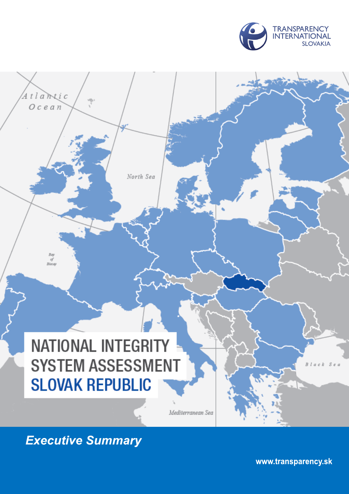

# **NATIONAL INTEGRITY SYSTEM ASSESSMENT SLOVAK REPUBLIC**

North Sea

Mediterranean Sea

**Executive Summary** 

Atlantic  $Ocean$ 

Bay<br>of<br>Biscay

www.transparency.sk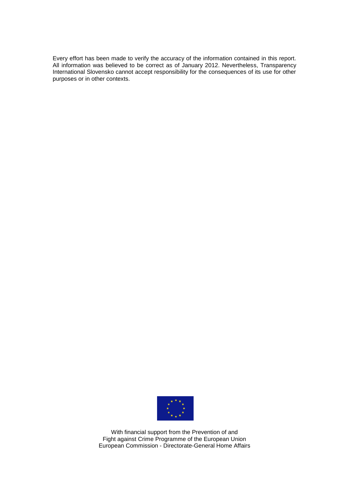Every effort has been made to verify the accuracy of the information contained in this report. All information was believed to be correct as of January 2012. Nevertheless, Transparency International Slovensko cannot accept responsibility for the consequences of its use for other purposes or in other contexts.



With financial support from the Prevention of and Fight against Crime Programme of the European Union European Commission - Directorate-General Home Affairs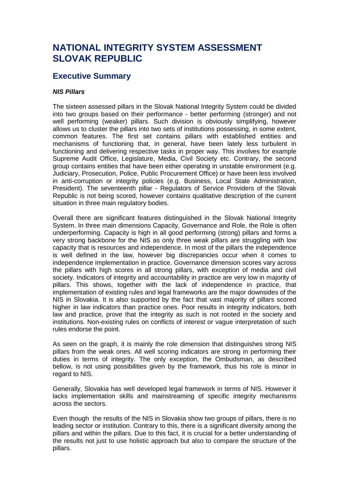# **NATIONAL INTEGRITY SYSTEM ASSESSMENT SLOVAK REPUBLIC**

# **Executive Summary**

# *NIS Pillars*

The sixteen assessed pillars in the Slovak National Integrity System could be divided into two groups based on their performance - better performing (stronger) and not well performing (weaker) pillars. Such division is obviously simplifying, however allows us to cluster the pillars into two sets of institutions possessing, in some extent, common features. The first set contains pillars with established entities and mechanisms of functioning that, in general, have been lately less turbulent in functioning and delivering respective tasks in proper way. This involves for example Supreme Audit Office, Legislature, Media, Civil Society etc. Contrary, the second group contains entities that have been either operating in unstable environment (e.g. Judiciary, Prosecution, Police, Public Procurement Office) or have been less involved in anti-corruption or integrity policies (e.g. Business, Local State Administration, President). The seventeenth pillar - Regulators of Service Providers of the Slovak Republic is not being scored, however contains qualitative description of the current situation in three main regulatory bodies.

Overall there are significant features distinguished in the Slovak National Integrity System. In three main dimensions Capacity, Governance and Role, the Role is often underperforming. Capacity is high in all good performing (strong) pillars and forms a very strong backbone for the NIS as only three weak pillars are struggling with low capacity that is resources and independence. In most of the pillars the independence is well defined in the law, however big discrepancies occur when it comes to independence implementation in practice. Governance dimension scores vary across the pillars with high scores in all strong pillars, with exception of media and civil society. Indicators of integrity and accountability in practice are very low in majority of pillars. This shows, together with the lack of independence in practice, that implementation of existing rules and legal frameworks are the major downsides of the NIS in Slovakia. It is also supported by the fact that vast majority of pillars scored higher in law indicators than practice ones. Poor results in integrity indicators, both law and practice, prove that the integrity as such is not rooted in the society and institutions. Non-existing rules on conflicts of interest or vague interpretation of such rules endorse the point.

As seen on the graph, it is mainly the role dimension that distinguishes strong NIS pillars from the weak ones. All well scoring indicators are strong in performing their duties in terms of integrity. The only exception, the Ombudsman, as described bellow, is not using possibilities given by the framework, thus his role is minor in regard to NIS.

Generally, Slovakia has well developed legal framework in terms of NIS. However it lacks implementation skills and mainstreaming of specific integrity mechanisms across the sectors.

Even though the results of the NIS in Slovakia show two groups of pillars, there is no leading sector or institution. Contrary to this, there is a significant diversity among the pillars and within the pillars. Due to this fact, it is crucial for a better understanding of the results not just to use holistic approach but also to compare the structure of the pillars.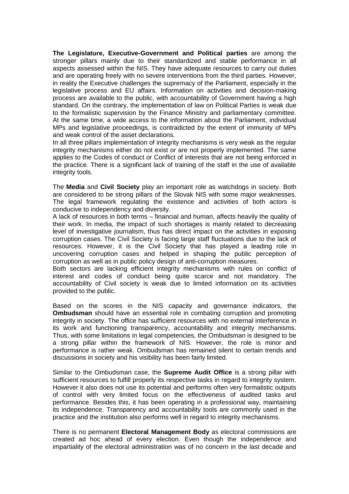**The Legislature, Executive-Government and Political parties** are among the stronger pillars mainly due to their standardized and stable performance in all aspects assessed within the NIS. They have adequate resources to carry out duties and are operating freely with no severe interventions from the third parties. However, in reality the Executive challenges the supremacy of the Parliament, especially in the legislative process and EU affairs. Information on activities and decision-making process are available to the public, with accountability of Government having a high standard. On the contrary, the implementation of law on Political Parties is weak due to the formalistic supervision by the Finance Ministry and parliamentary committee. At the same time, a wide access to the information about the Parliament, individual MPs and legislative proceedings, is contradicted by the extent of immunity of MPs and weak control of the asset declarations.

In all three pillars implementation of integrity mechanisms is very weak as the regular integrity mechanisms either do not exist or are not properly implemented. The same applies to the Codes of conduct or Conflict of interests that are not being enforced in the practice. There is a significant lack of training of the staff in the use of available integrity tools.

The **Media** and **Civil Society** play an important role as watchdogs in society. Both are considered to be strong pillars of the Slovak NIS with some major weaknesses. The legal framework regulating the existence and activities of both actors is conducive to independency and diversity.

A lack of resources in both terms – financial and human, affects heavily the quality of their work. In media, the impact of such shortages is mainly related to decreasing level of investigative journalism, thus has direct impact on the activities in exposing corruption cases. The Civil Society is facing large staff fluctuations due to the lack of resources. However, it is the Civil Society that has played a leading role in uncovering corruption cases and helped in shaping the public perception of corruption as well as in public policy design of anti-corruption measures.

Both sectors are lacking efficient integrity mechanisms with rules on conflict of interest and codes of conduct being quite scarce and not mandatory. The accountability of Civil society is weak due to limited information on its activities provided to the public.

Based on the scores in the NIS capacity and governance indicators, the **Ombudsman** should have an essential role in combating corruption and promoting integrity in society. The office has sufficient resources with no external interference in its work and functioning transparency, accountability and integrity mechanisms. Thus, with some limitations in legal competencies, the Ombudsman is designed to be a strong pillar within the framework of NIS. However, the role is minor and performance is rather weak. Ombudsman has remained silent to certain trends and discussions in society and his visibility has been fairly limited.

Similar to the Ombudsman case, the **Supreme Audit Office** is a strong pillar with sufficient resources to fulfill properly its respective tasks in regard to integrity system. However it also does not use its potential and performs often very formalistic outputs of control with very limited focus on the effectiveness of audited tasks and performance. Besides this, it has been operating in a professional way, maintaining its independence. Transparency and accountability tools are commonly used in the practice and the institution also performs well in regard to integrity mechanisms.

There is no permanent **Electoral Management Body** as electoral commissions are created ad hoc ahead of every election. Even though the independence and impartiality of the electoral administration was of no concern in the last decade and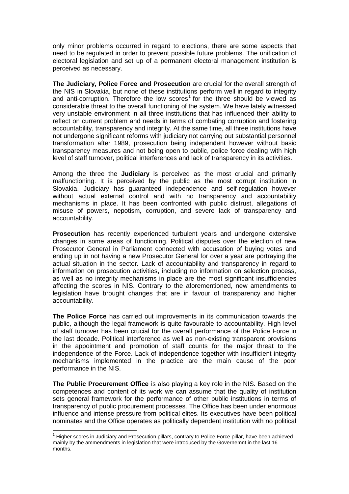only minor problems occurred in regard to elections, there are some aspects that need to be regulated in order to prevent possible future problems. The unification of electoral legislation and set up of a permanent electoral management institution is perceived as necessary.

**The Judiciary, Police Force and Prosecution** are crucial for the overall strength of the NIS in Slovakia, but none of these institutions perform well in regard to integrity and anti-corruption. Therefore the low scores<sup>1</sup> for the three should be viewed as considerable threat to the overall functioning of the system. We have lately witnessed very unstable environment in all three institutions that has influenced their ability to reflect on current problem and needs in terms of combating corruption and fostering accountability, transparency and integrity. At the same time, all three institutions have not undergone significant reforms with judiciary not carrying out substantial personnel transformation after 1989, prosecution being independent however without basic transparency measures and not being open to public, police force dealing with high level of staff turnover, political interferences and lack of transparency in its activities.

Among the three the **Judiciary** is perceived as the most crucial and primarily malfunctioning. It is perceived by the public as the most corrupt institution in Slovakia. Judiciary has guaranteed independence and self-regulation however without actual external control and with no transparency and accountability mechanisms in place. It has been confronted with public distrust, allegations of misuse of powers, nepotism, corruption, and severe lack of transparency and accountability.

**Prosecution** has recently experienced turbulent years and undergone extensive changes in some areas of functioning. Political disputes over the election of new Prosecutor General in Parliament connected with accusation of buying votes and ending up in not having a new Prosecutor General for over a year are portraying the actual situation in the sector. Lack of accountability and transparency in regard to information on prosecution activities, including no information on selection process, as well as no integrity mechanisms in place are the most significant insufficiencies affecting the scores in NIS. Contrary to the aforementioned, new amendments to legislation have brought changes that are in favour of transparency and higher accountability.

**The Police Force** has carried out improvements in its communication towards the public, although the legal framework is quite favourable to accountability. High level of staff turnover has been crucial for the overall performance of the Police Force in the last decade. Political interference as well as non-existing transparent provisions in the appointment and promotion of staff counts for the major threat to the independence of the Force. Lack of independence together with insufficient integrity mechanisms implemented in the practice are the main cause of the poor performance in the NIS.

**The Public Procurement Office** is also playing a key role in the NIS. Based on the competences and content of its work we can assume that the quality of institution sets general framework for the performance of other public institutions in terms of transparency of public procurement processes. The Office has been under enormous influence and intense pressure from political elites. Its executives have been political nominates and the Office operates as politically dependent institution with no political

 $\overline{a}$ 

<sup>&</sup>lt;sup>1</sup> Higher scores in Judiciary and Prosecution pillars, contrary to Police Force pillar, have been achieved mainly by the ammendments in legislation that were introduced by the Governemnt in the last 16 months.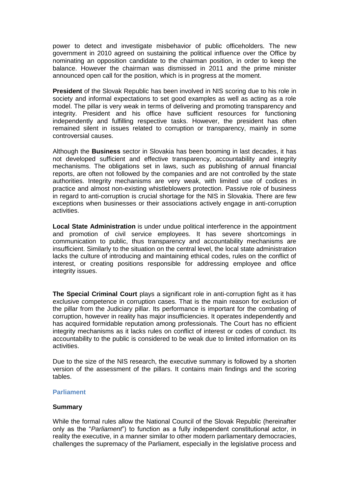power to detect and investigate misbehavior of public officeholders. The new government in 2010 agreed on sustaining the political influence over the Office by nominating an opposition candidate to the chairman position, in order to keep the balance. However the chairman was dismissed in 2011 and the prime minister announced open call for the position, which is in progress at the moment.

**President** of the Slovak Republic has been involved in NIS scoring due to his role in society and informal expectations to set good examples as well as acting as a role model. The pillar is very weak in terms of delivering and promoting transparency and integrity. President and his office have sufficient resources for functioning independently and fulfilling respective tasks. However, the president has often remained silent in issues related to corruption or transparency, mainly in some controversial causes.

Although the **Business** sector in Slovakia has been booming in last decades, it has not developed sufficient and effective transparency, accountability and integrity mechanisms. The obligations set in laws, such as publishing of annual financial reports, are often not followed by the companies and are not controlled by the state authorities. Integrity mechanisms are very weak, with limited use of codices in practice and almost non-existing whistleblowers protection. Passive role of business in regard to anti-corruption is crucial shortage for the NIS in Slovakia. There are few exceptions when businesses or their associations actively engage in anti-corruption activities.

**Local State Administration** is under undue political interference in the appointment and promotion of civil service employees. It has severe shortcomings in communication to public, thus transparency and accountability mechanisms are insufficient. Similarly to the situation on the central level, the local state administration lacks the culture of introducing and maintaining ethical codes, rules on the conflict of interest, or creating positions responsible for addressing employee and office integrity issues.

**The Special Criminal Court** plays a significant role in anti-corruption fight as it has exclusive competence in corruption cases. That is the main reason for exclusion of the pillar from the Judiciary pillar. Its performance is important for the combating of corruption, however in reality has major insufficiencies. It operates independently and has acquired formidable reputation among professionals. The Court has no efficient integrity mechanisms as it lacks rules on conflict of interest or codes of conduct. Its accountability to the public is considered to be weak due to limited information on its activities.

Due to the size of the NIS research, the executive summary is followed by a shorten version of the assessment of the pillars. It contains main findings and the scoring tables.

#### **Parliament**

#### **Summary**

While the formal rules allow the National Council of the Slovak Republic (hereinafter only as the "*Parliament*") to function as a fully independent constitutional actor, in reality the executive, in a manner similar to other modern parliamentary democracies, challenges the supremacy of the Parliament, especially in the legislative process and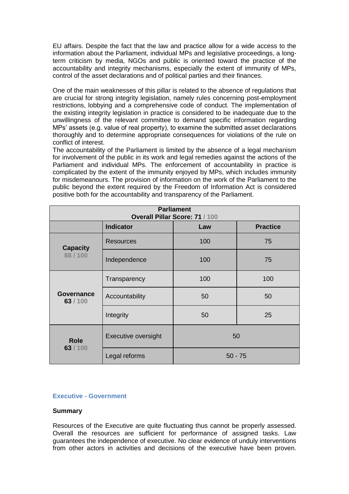EU affairs. Despite the fact that the law and practice allow for a wide access to the information about the Parliament, individual MPs and legislative proceedings, a longterm criticism by media, NGOs and public is oriented toward the practice of the accountability and integrity mechanisms, especially the extent of immunity of MPs, control of the asset declarations and of political parties and their finances.

One of the main weaknesses of this pillar is related to the absence of regulations that are crucial for strong integrity legislation, namely rules concerning post-employment restrictions, lobbying and a comprehensive code of conduct. The implementation of the existing integrity legislation in practice is considered to be inadequate due to the unwillingness of the relevant committee to demand specific information regarding MPs" assets (e.g. value of real property), to examine the submitted asset declarations thoroughly and to determine appropriate consequences for violations of the rule on conflict of interest.

The accountability of the Parliament is limited by the absence of a legal mechanism for involvement of the public in its work and legal remedies against the actions of the Parliament and individual MPs. The enforcement of accountability in practice is complicated by the extent of the immunity enjoyed by MPs, which includes immunity for misdemeanours. The provision of information on the work of the Parliament to the public beyond the extent required by the Freedom of Information Act is considered positive both for the accountability and transparency of the Parliament.

| <b>Parliament</b><br>Overall Pillar Score: 71 / 100 |                     |           |     |  |  |
|-----------------------------------------------------|---------------------|-----------|-----|--|--|
| <b>Indicator</b><br><b>Practice</b><br>Law          |                     |           |     |  |  |
| <b>Capacity</b><br>88/100                           | <b>Resources</b>    | 100       | 75  |  |  |
|                                                     | Independence        | 100       | 75  |  |  |
| Governance<br>63/100                                | Transparency        | 100       | 100 |  |  |
|                                                     | Accountability      | 50        | 50  |  |  |
|                                                     | Integrity           | 50        | 25  |  |  |
| <b>Role</b><br>63/100                               | Executive oversight | 50        |     |  |  |
|                                                     | Legal reforms       | $50 - 75$ |     |  |  |

#### **Executive - Government**

#### **Summary**

Resources of the Executive are quite fluctuating thus cannot be properly assessed. Overall the resources are sufficient for performance of assigned tasks. Law guarantees the independence of executive. No clear evidence of unduly interventions from other actors in activities and decisions of the executive have been proven.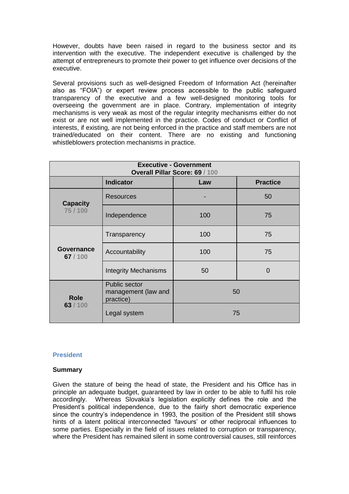However, doubts have been raised in regard to the business sector and its intervention with the executive. The independent executive is challenged by the attempt of entrepreneurs to promote their power to get influence over decisions of the executive.

Several provisions such as well-designed Freedom of Information Act (hereinafter also as "FOIA") or expert review process accessible to the public safeguard transparency of the executive and a few well-designed monitoring tools for overseeing the government are in place. Contrary, implementation of integrity mechanisms is very weak as most of the regular integrity mechanisms either do not exist or are not well implemented in the practice. Codes of conduct or Conflict of interests, if existing, are not being enforced in the practice and staff members are not trained/educated on their content. There are no existing and functioning whistleblowers protection mechanisms in practice.

| <b>Executive - Government</b><br>Overall Pillar Score: 69 / 100 |                                                   |     |          |  |  |
|-----------------------------------------------------------------|---------------------------------------------------|-----|----------|--|--|
| <b>Indicator</b><br><b>Practice</b><br>Law                      |                                                   |     |          |  |  |
| <b>Capacity</b><br>75/100                                       | Resources                                         |     | 50       |  |  |
|                                                                 | Independence                                      | 100 | 75       |  |  |
| Governance<br>67/100                                            | Transparency                                      | 100 | 75       |  |  |
|                                                                 | Accountability                                    | 100 | 75       |  |  |
|                                                                 | <b>Integrity Mechanisms</b>                       | 50  | $\Omega$ |  |  |
| <b>Role</b><br>63/100                                           | Public sector<br>management (law and<br>practice) | 50  |          |  |  |
|                                                                 | Legal system                                      | 75  |          |  |  |

#### **President**

#### **Summary**

Given the stature of being the head of state, the President and his Office has in principle an adequate budget, guaranteed by law in order to be able to fulfil his role accordingly. Whereas Slovakia"s legislation explicitly defines the role and the President's political independence, due to the fairly short democratic experience since the country's independence in 1993, the position of the President still shows hints of a latent political interconnected "favours" or other reciprocal influences to some parties. Especially in the field of issues related to corruption or transparency, where the President has remained silent in some controversial causes, still reinforces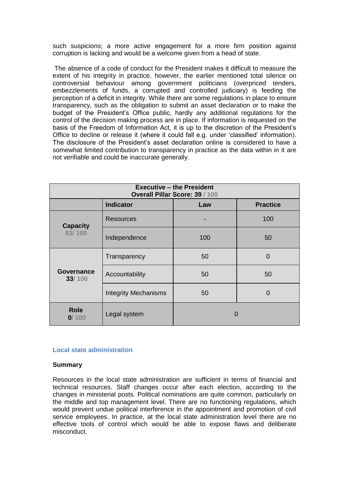such suspicions; a more active engagement for a more firm position against corruption is lacking and would be a welcome given from a head of state.

The absence of a code of conduct for the President makes it difficult to measure the extent of his integrity in practice, however, the earlier mentioned total silence on controversial behaviour among government politicians (overpriced tenders, embezzlements of funds, a corrupted and controlled judiciary) is feeding the perception of a deficit in integrity. While there are some regulations in place to ensure transparency, such as the obligation to submit an asset declaration or to make the budget of the President"s Office public, hardly any additional regulations for the control of the decision making process are in place. If information is requested on the basis of the Freedom of Information Act, it is up to the discretion of the President"s Office to decline or release it (where it could fall e.g. under "classified" information). The disclosure of the President"s asset declaration online is considered to have a somewhat limited contribution to transparency in practice as the data within in it are not verifiable and could be inaccurate generally.

| <b>Executive - the President</b><br>Overall Pillar Score: 39 / 100 |                             |     |     |  |  |
|--------------------------------------------------------------------|-----------------------------|-----|-----|--|--|
| <b>Indicator</b><br><b>Practice</b><br>Law                         |                             |     |     |  |  |
| <b>Capacity</b><br>83/100                                          | <b>Resources</b>            |     | 100 |  |  |
|                                                                    | Independence                | 100 | 50  |  |  |
| Governance<br>33/100                                               | Transparency                | 50  | 0   |  |  |
|                                                                    | Accountability              | 50  | 50  |  |  |
|                                                                    | <b>Integrity Mechanisms</b> | 50  | 0   |  |  |
| <b>Role</b><br>0/100                                               | Legal system                | O   |     |  |  |

#### **Local state administration**

#### **Summary**

Resources in the local state administration are sufficient in terms of financial and technical resources. Staff changes occur after each election, according to the changes in ministerial posts. Political nominations are quite common, particularly on the middle and top management level. There are no functioning regulations, which would prevent undue political interference in the appointment and promotion of civil service employees. In practice, at the local state administration level there are no effective tools of control which would be able to expose flaws and deliberate misconduct.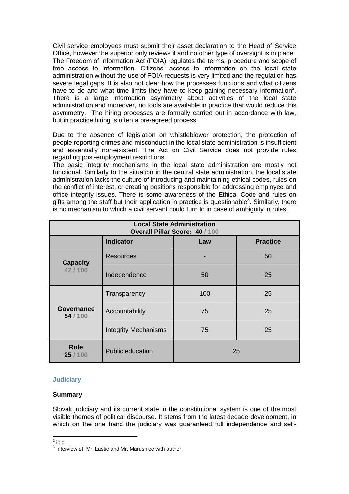Civil service employees must submit their asset declaration to the Head of Service Office, however the superior only reviews it and no other type of oversight is in place. The Freedom of Information Act (FOIA) regulates the terms, procedure and scope of free access to information. Citizens" access to information on the local state administration without the use of FOIA requests is very limited and the regulation has severe legal gaps. It is also not clear how the processes functions and what citizens have to do and what time limits they have to keep gaining necessary information<sup>2</sup>. There is a large information asymmetry about activities of the local state administration and moreover, no tools are available in practice that would reduce this asymmetry. The hiring processes are formally carried out in accordance with law, but in practice hiring is often a pre-agreed process.

Due to the absence of legislation on whistleblower protection, the protection of people reporting crimes and misconduct in the local state administration is insufficient and essentially non-existent. The Act on Civil Service does not provide rules regarding post-employment restrictions.

The basic integrity mechanisms in the local state administration are mostly not functional. Similarly to the situation in the central state administration, the local state administration lacks the culture of introducing and maintaining ethical codes, rules on the conflict of interest, or creating positions responsible for addressing employee and office integrity issues. There is some awareness of the Ethical Code and rules on gifts among the staff but their application in practice is questionable<sup>3</sup>. Similarly, there is no mechanism to which a civil servant could turn to in case of ambiguity in rules.

| <b>Local State Administration</b><br>Overall Pillar Score: 40 / 100 |                             |     |    |  |  |
|---------------------------------------------------------------------|-----------------------------|-----|----|--|--|
| <b>Indicator</b><br><b>Practice</b><br>Law                          |                             |     |    |  |  |
| <b>Capacity</b><br>42/100                                           | Resources                   |     | 50 |  |  |
|                                                                     | Independence                | 50  | 25 |  |  |
| <b>Governance</b><br>54/100                                         | Transparency                | 100 | 25 |  |  |
|                                                                     | Accountability              | 75  | 25 |  |  |
|                                                                     | <b>Integrity Mechanisms</b> | 75  | 25 |  |  |
| <b>Role</b><br>25/100                                               | <b>Public education</b>     | 25  |    |  |  |

# **Judiciary**

# **Summary**

Slovak judiciary and its current state in the constitutional system is one of the most visible themes of political discourse. It stems from the latest decade development, in which on the one hand the judiciary was guaranteed full independence and self-

 $\frac{2}{\pi}$ ibid

 $3$  Interview of Mr. Lastic and Mr. Marusinec with author.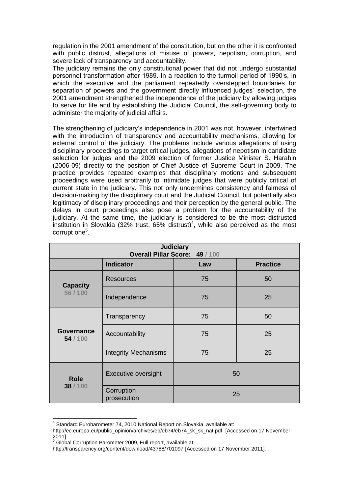regulation in the 2001 amendment of the constitution, but on the other it is confronted with public distrust, allegations of misuse of powers, nepotism, corruption, and severe lack of transparency and accountability.

The judiciary remains the only constitutional power that did not undergo substantial personnel transformation after 1989. In a reaction to the turmoil period of 1990"s, in which the executive and the parliament repeatedly overstepped boundaries for separation of powers and the government directly influenced judges´ selection, the 2001 amendment strengthened the independence of the judiciary by allowing judges to serve for life and by establishing the Judicial Council, the self-governing body to administer the majority of judicial affairs.

The strengthening of judiciary"s independence in 2001 was not, however, intertwined with the introduction of transparency and accountability mechanisms, allowing for external control of the judiciary. The problems include various allegations of using disciplinary proceedings to target critical judges, allegations of nepotism in candidate selection for judges and the 2009 election of former Justice Minister S. Harabin (2006-09) directly to the position of Chief Justice of Supreme Court in 2009. The practice provides repeated examples that disciplinary motions and subsequent proceedings were used arbitrarily to intimidate judges that were publicly critical of current state in the judiciary. This not only undermines consistency and fairness of decision-making by the disciplinary court and the Judicial Council, but potentially also legitimacy of disciplinary proceedings and their perception by the general public. The delays in court proceedings also pose a problem for the accountability of the judiciary. At the same time, the judiciary is considered to be the most distrusted institution in Slovakia (32% trust, 65% distrust)<sup>4</sup>, while also perceived as the most corrupt one<sup>5</sup>.

| <b>Judiciary</b><br>Overall Pillar Score: 49 / 100 |                                            |    |    |  |  |  |
|----------------------------------------------------|--------------------------------------------|----|----|--|--|--|
|                                                    | <b>Indicator</b><br><b>Practice</b><br>Law |    |    |  |  |  |
| <b>Capacity</b><br>56 / 100                        | <b>Resources</b>                           | 75 | 50 |  |  |  |
|                                                    | Independence                               | 75 | 25 |  |  |  |
|                                                    | Transparency                               | 75 | 50 |  |  |  |
| Governance<br>54/100                               | Accountability                             | 75 | 25 |  |  |  |
|                                                    | <b>Integrity Mechanisms</b>                | 75 | 25 |  |  |  |
| <b>Role</b><br>38 / 100                            | Executive oversight                        | 50 |    |  |  |  |
|                                                    | Corruption<br>prosecution                  | 25 |    |  |  |  |

 4 Standard Eurobarometer 74, 2010 National Report on Slovakia, available at:

[http://ec.europa.eu/public\\_opinion/archives/eb/eb74/eb74\\_sk\\_sk\\_nat.pdf](http://ec.europa.eu/public_opinion/archives/eb/eb74/eb74_sk_sk_nat.pdf) [Accessed on 17 November 2011].

<sup>5</sup> Global Corruption Barometer 2009, Full report, available at:

<http://transparency.org/content/download/43788/701097> [Accessed on 17 November 2011].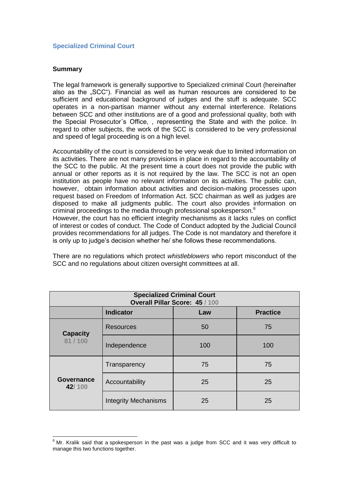# **Specialized Criminal Court**

# **Summary**

The legal framework is generally supportive to Specialized criminal Court (hereinafter also as the "SCC"). Financial as well as human resources are considered to be sufficient and educational background of judges and the stuff is adequate. SCC operates in a non-partisan manner without any external interference. Relations between SCC and other institutions are of a good and professional quality, both with the Special Prosecutor´s Office, , representing the State and with the police. In regard to other subjects, the work of the SCC is considered to be very professional and speed of legal proceeding is on a high level.

Accountability of the court is considered to be very weak due to limited information on its activities. There are not many provisions in place in regard to the accountability of the SCC to the public. At the present time a court does not provide the public with annual or other reports as it is not required by the law. The SCC is not an open institution as people have no relevant information on its activities. The public can, however, obtain information about activities and decision-making processes upon request based on Freedom of Information Act. SCC chairman as well as judges are disposed to make all judgments public. The court also provides information on criminal proceedings to the media through professional spokesperson.<sup>6</sup>

However, the court has no efficient integrity mechanisms as it lacks rules on conflict of interest or codes of conduct. The Code of Conduct adopted by the Judicial Council provides recommendations for all judges. The Code is not mandatory and therefore it is only up to judge"s decision whether he/ she follows these recommendations.

There are no regulations which protect *whistleblowers* who report misconduct of the SCC and no regulations about citizen oversight committees at all.

| <b>Specialized Criminal Court</b><br>Overall Pillar Score: 45 / 100 |                                            |     |     |  |  |  |
|---------------------------------------------------------------------|--------------------------------------------|-----|-----|--|--|--|
|                                                                     | <b>Indicator</b><br><b>Practice</b><br>Law |     |     |  |  |  |
| <b>Capacity</b><br>81/100                                           | <b>Resources</b>                           | 50  | 75  |  |  |  |
|                                                                     | Independence                               | 100 | 100 |  |  |  |
| <b>Governance</b><br>42/100                                         | Transparency                               | 75  | 75  |  |  |  |
|                                                                     | Accountability                             | 25  | 25  |  |  |  |
|                                                                     | <b>Integrity Mechanisms</b>                | 25  | 25  |  |  |  |

 $\overline{a}$  $6$  Mr. Kralik said that a spokesperson in the past was a judge from SCC and it was very difficult to manage this two functions together.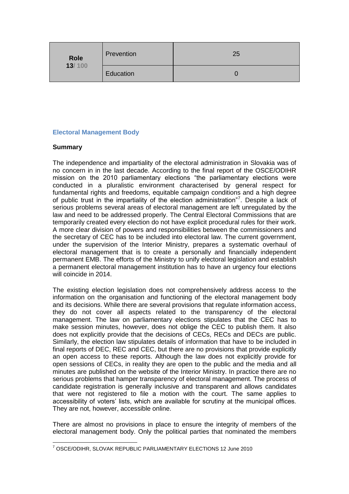| <b>Role</b><br>13/100 | Prevention | 25 |
|-----------------------|------------|----|
|                       | Education  |    |

# **Electoral Management Body**

# **Summary**

The independence and impartiality of the electoral administration in Slovakia was of no concern in in the last decade. According to the final report of the OSCE/ODIHR mission on the 2010 parliamentary elections "the parliamentary elections were conducted in a pluralistic environment characterised by general respect for fundamental rights and freedoms, equitable campaign conditions and a high degree of public trust in the impartiality of the election administration"<sup>7</sup>. Despite a lack of serious problems several areas of electoral management are left unregulated by the law and need to be addressed properly. The Central Electoral Commissions that are temporarily created every election do not have explicit procedural rules for their work. A more clear division of powers and responsibilities between the commissioners and the secretary of CEC has to be included into electoral law. The current government, under the supervision of the Interior Ministry, prepares a systematic overhaul of electoral management that is to create a personally and financially independent permanent EMB. The efforts of the Ministry to unify electoral legislation and establish a permanent electoral management institution has to have an urgency four elections will coincide in 2014.

The existing election legislation does not comprehensively address access to the information on the organisation and functioning of the electoral management body and its decisions. While there are several provisions that regulate information access, they do not cover all aspects related to the transparency of the electoral management. The law on parliamentary elections stipulates that the CEC has to make session minutes, however, does not oblige the CEC to publish them. It also does not explicitly provide that the decisions of CECs, RECs and DECs are public. Similarly, the election law stipulates details of information that have to be included in final reports of DEC, REC and CEC, but there are no provisions that provide explicitly an open access to these reports. Although the law does not explicitly provide for open sessions of CECs, in reality they are open to the public and the media and all minutes are published on the website of the Interior Ministry. In practice there are no serious problems that hamper transparency of electoral management. The process of candidate registration is generally inclusive and transparent and allows candidates that were not registered to file a motion with the court. The same applies to accessibility of voters' lists, which are available for scrutiny at the municipal offices. They are not, however, accessible online.

There are almost no provisions in place to ensure the integrity of members of the electoral management body. Only the political parties that nominated the members

 $\overline{a}$ <sup>7</sup> OSCE/ODIHR, SLOVAK REPUBLIC PARLIAMENTARY ELECTIONS 12 June 2010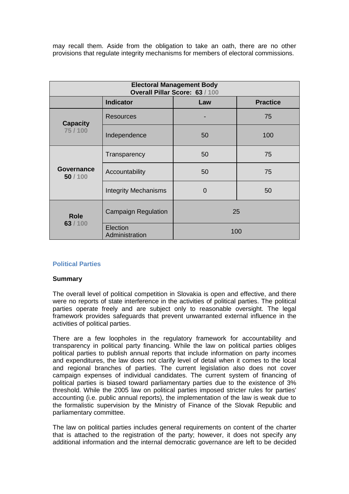may recall them. Aside from the obligation to take an oath, there are no other provisions that regulate integrity mechanisms for members of electoral commissions.

| <b>Electoral Management Body</b><br>Overall Pillar Score: 63 / 100 |                             |                |     |  |  |
|--------------------------------------------------------------------|-----------------------------|----------------|-----|--|--|
| <b>Indicator</b><br><b>Practice</b><br>Law                         |                             |                |     |  |  |
| <b>Capacity</b><br>75/100                                          | <b>Resources</b>            |                | 75  |  |  |
|                                                                    | Independence                | 50             | 100 |  |  |
| Governance<br>50/100                                               | Transparency                | 50             | 75  |  |  |
|                                                                    | Accountability              | 50             | 75  |  |  |
|                                                                    | <b>Integrity Mechanisms</b> | $\overline{0}$ | 50  |  |  |
| <b>Role</b><br>63/100                                              | <b>Campaign Regulation</b>  | 25             |     |  |  |
|                                                                    | Election<br>Administration  | 100            |     |  |  |

# **Political Parties**

#### **Summary**

The overall level of political competition in Slovakia is open and effective, and there were no reports of state interference in the activities of political parties. The political parties operate freely and are subject only to reasonable oversight. The legal framework provides safeguards that prevent unwarranted external influence in the activities of political parties.

There are a few loopholes in the regulatory framework for accountability and transparency in political party financing. While the law on political parties obliges political parties to publish annual reports that include information on party incomes and expenditures, the law does not clarify level of detail when it comes to the local and regional branches of parties. The current legislation also does not cover campaign expenses of individual candidates. The current system of financing of political parties is biased toward parliamentary parties due to the existence of 3% threshold. While the 2005 law on political parties imposed stricter rules for parties' accounting (i.e. public annual reports), the implementation of the law is weak due to the formalistic supervision by the Ministry of Finance of the Slovak Republic and parliamentary committee.

The law on political parties includes general requirements on content of the charter that is attached to the registration of the party; however, it does not specify any additional information and the internal democratic governance are left to be decided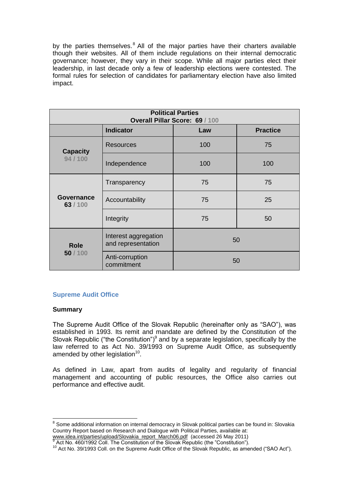by the parties themselves. $8$  All of the major parties have their charters available though their websites. All of them include regulations on their internal democratic governance; however, they vary in their scope. While all major parties elect their leadership, in last decade only a few of leadership elections were contested. The formal rules for selection of candidates for parliamentary election have also limited impact.

| <b>Political Parties</b><br>Overall Pillar Score: 69 / 100 |                                            |     |     |  |  |
|------------------------------------------------------------|--------------------------------------------|-----|-----|--|--|
| <b>Indicator</b><br><b>Practice</b><br>Law                 |                                            |     |     |  |  |
| <b>Capacity</b><br>94 / 100                                | Resources                                  | 100 | 75  |  |  |
|                                                            | Independence                               | 100 | 100 |  |  |
| Governance<br>63/100                                       | Transparency                               | 75  | 75  |  |  |
|                                                            | Accountability                             | 75  | 25  |  |  |
|                                                            | Integrity                                  | 75  | 50  |  |  |
| <b>Role</b><br>50/100                                      | Interest aggregation<br>and representation | 50  |     |  |  |
|                                                            | Anti-corruption<br>commitment              | 50  |     |  |  |

# **Supreme Audit Office**

# **Summary**

The Supreme Audit Office of the Slovak Republic (hereinafter only as "SAO"), was established in 1993. Its remit and mandate are defined by the Constitution of the Slovak Republic ("the Constitution")<sup>9</sup> and by a separate legislation, specifically by the law referred to as Act No. 39/1993 on Supreme Audit Office, as subsequently amended by other legislation $^{10}$ .

As defined in Law, apart from audits of legality and regularity of financial management and accounting of public resources, the Office also carries out performance and effective audit.

entified to the difference of the mode of the mode of the some additional system of the some additional information on internal democracy in Slovakia some additional information on internal democracy in Slovakia substantia Country Report based on Research and Dialogue with Political Parties, available at:

www.idea.int/parties/upload/Slovakia\_report\_March06.pdf (accessed 26 May 2011) <sup>9</sup> Act No. 460/1992 Coll. The Constitution of the Slovak Republic (the "Constitution").

<sup>&</sup>lt;sup>10</sup> Act No. 39/1993 Coll. on the Supreme Audit Office of the Slovak Republic, as amended ("SAO Act").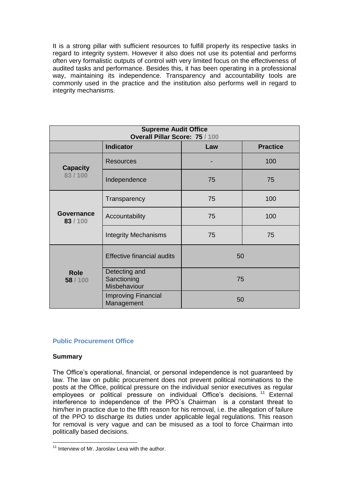It is a strong pillar with sufficient resources to fulfill properly its respective tasks in regard to integrity system. However it also does not use its potential and performs often very formalistic outputs of control with very limited focus on the effectiveness of audited tasks and performance. Besides this, it has been operating in a professional way, maintaining its independence. Transparency and accountability tools are commonly used in the practice and the institution also performs well in regard to integrity mechanisms.

| <b>Supreme Audit Office</b><br>Overall Pillar Score: 75 / 100 |                                              |     |                 |
|---------------------------------------------------------------|----------------------------------------------|-----|-----------------|
|                                                               | <b>Indicator</b>                             | Law | <b>Practice</b> |
| <b>Capacity</b><br>83/100                                     | <b>Resources</b>                             |     | 100             |
|                                                               | Independence                                 | 75  | 75              |
| Governance<br>83/100                                          | Transparency                                 | 75  | 100             |
|                                                               | Accountability                               | 75  | 100             |
|                                                               | <b>Integrity Mechanisms</b>                  | 75  | 75              |
| <b>Role</b><br>58 / 100                                       | <b>Effective financial audits</b>            | 50  |                 |
|                                                               | Detecting and<br>Sanctioning<br>Misbehaviour | 75  |                 |
|                                                               | <b>Improving Financial</b><br>Management     | 50  |                 |

# **Public Procurement Office**

# **Summary**

The Office"s operational, financial, or personal independence is not guaranteed by law. The law on public procurement does not prevent political nominations to the posts at the Office, political pressure on the individual senior executives as regular employees or political pressure on individual Office's decisions.<sup>11</sup> External interference to independence of the PPO´s Chairman is a constant threat to him/her in practice due to the fifth reason for his removal, i.e. the allegation of failure of the PPO to discharge its duties under applicable legal regulations. This reason for removal is very vague and can be misused as a tool to force Chairman into politically based decisions.

 $\overline{a}$  $11$  Interview of Mr. Jaroslav Lexa with the author.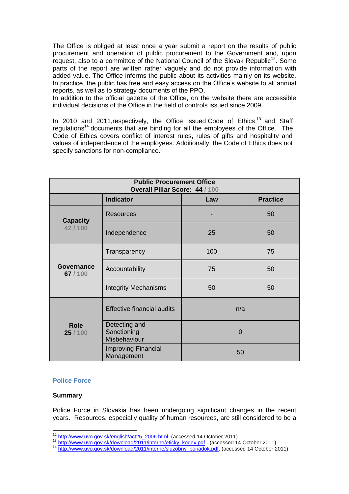The Office is obliged at least once a year submit a report on the results of public procurement and operation of public procurement to the Government and, upon request, also to a committee of the National Council of the Slovak Republic<sup>12</sup>. Some parts of the report are written rather vaguely and do not provide information with added value. The Office informs the public about its activities mainly on its website. In practice, the public has free and easy access on the Office"s website to all annual reports, as well as to strategy documents of the PPO.

In addition to the official gazette of the Office, on the website there are accessible individual decisions of the Office in the field of controls issued since 2009.

In 2010 and 2011, respectively, the Office issued Code of Ethics<sup>13</sup> and Staff regulations<sup>14</sup> documents that are binding for all the employees of the Office. The Code of Ethics covers conflict of interest rules, rules of gifts and hospitality and values of independence of the employees. Additionally, the Code of Ethics does not specify sanctions for non-compliance.

| <b>Public Procurement Office</b><br>Overall Pillar Score: 44 / 100 |                                              |          |                 |
|--------------------------------------------------------------------|----------------------------------------------|----------|-----------------|
|                                                                    | <b>Indicator</b>                             | Law      | <b>Practice</b> |
| <b>Capacity</b><br>42/100                                          | <b>Resources</b>                             |          | 50              |
|                                                                    | Independence                                 | 25       | 50              |
| Governance<br>67/100                                               | Transparency                                 | 100      | 75              |
|                                                                    | Accountability                               | 75       | 50              |
|                                                                    | <b>Integrity Mechanisms</b>                  | 50       | 50              |
| <b>Role</b><br>25/100                                              | <b>Effective financial audits</b>            | n/a      |                 |
|                                                                    | Detecting and<br>Sanctioning<br>Misbehaviour | $\Omega$ |                 |
|                                                                    | <b>Improving Financial</b><br>Management     | 50       |                 |

#### **Police Force**

#### **Summary**

 $\overline{a}$ 

Police Force in Slovakia has been undergoing significant changes in the recent years. Resources, especially quality of human resources, are still considered to be a

<sup>&</sup>lt;sup>12</sup> [http://www.uvo.gov.sk/english/act25\\_2006.html.](http://www.uvo.gov.sk/english/act25_2006.html) (accessed 14 October 2011)

<sup>13</sup> [http://www.uvo.gov.sk/download/2011/interne/eticky\\_kodex.pdf](http://www.uvo.gov.sk/download/2011/interne/eticky_kodex.pdf) . (accessed 14 October 2011)

<sup>&</sup>lt;sup>14</sup> [http://www.uvo.gov.sk/download/2011/interne/sluzobny\\_poriadok.pdf.](http://www.uvo.gov.sk/download/2011/interne/sluzobny_poriadok.pdf) (accessed 14 October 2011)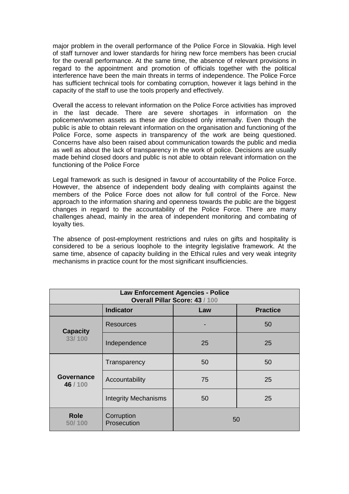major problem in the overall performance of the Police Force in Slovakia. High level of staff turnover and lower standards for hiring new force members has been crucial for the overall performance. At the same time, the absence of relevant provisions in regard to the appointment and promotion of officials together with the political interference have been the main threats in terms of independence. The Police Force has sufficient technical tools for combating corruption, however it lags behind in the capacity of the staff to use the tools properly and effectively.

Overall the access to relevant information on the Police Force activities has improved in the last decade. There are severe shortages in information on the policemen/women assets as these are disclosed only internally. Even though the public is able to obtain relevant information on the organisation and functioning of the Police Force, some aspects in transparency of the work are being questioned. Concerns have also been raised about communication towards the public and media as well as about the lack of transparency in the work of police. Decisions are usually made behind closed doors and public is not able to obtain relevant information on the functioning of the Police Force

Legal framework as such is designed in favour of accountability of the Police Force. However, the absence of independent body dealing with complaints against the members of the Police Force does not allow for full control of the Force. New approach to the information sharing and openness towards the public are the biggest changes in regard to the accountability of the Police Force. There are many challenges ahead, mainly in the area of independent monitoring and combating of loyalty ties.

The absence of post-employment restrictions and rules on gifts and hospitality is considered to be a serious loophole to the integrity legislative framework. At the same time, absence of capacity building in the Ethical rules and very weak integrity mechanisms in practice count for the most significant insufficiencies.

| <b>Law Enforcement Agencies - Police</b><br>Overall Pillar Score: 43 / 100 |                             |    |    |  |  |
|----------------------------------------------------------------------------|-----------------------------|----|----|--|--|
| <b>Indicator</b><br><b>Practice</b><br>Law                                 |                             |    |    |  |  |
| <b>Capacity</b><br>33/100                                                  | <b>Resources</b>            |    | 50 |  |  |
|                                                                            | Independence                | 25 | 25 |  |  |
| <b>Governance</b><br>46/100                                                | Transparency                | 50 | 50 |  |  |
|                                                                            | Accountability              | 75 | 25 |  |  |
|                                                                            | <b>Integrity Mechanisms</b> | 50 | 25 |  |  |
| <b>Role</b><br>50/100                                                      | Corruption<br>Prosecution   | 50 |    |  |  |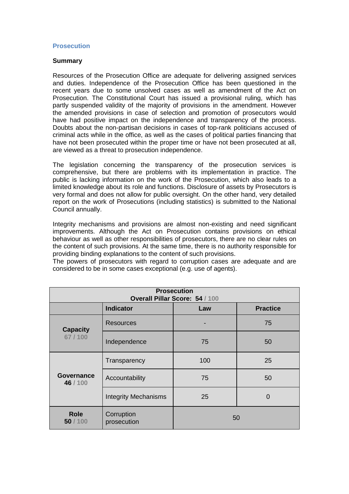#### **Prosecution**

#### **Summary**

Resources of the Prosecution Office are adequate for delivering assigned services and duties. Independence of the Prosecution Office has been questioned in the recent years due to some unsolved cases as well as amendment of the Act on Prosecution. The Constitutional Court has issued a provisional ruling, which has partly suspended validity of the majority of provisions in the amendment. However the amended provisions in case of selection and promotion of prosecutors would have had positive impact on the independence and transparency of the process. Doubts about the non-partisan decisions in cases of top-rank politicians accused of criminal acts while in the office, as well as the cases of political parties financing that have not been prosecuted within the proper time or have not been prosecuted at all, are viewed as a threat to prosecution independence.

The legislation concerning the transparency of the prosecution services is comprehensive, but there are problems with its implementation in practice. The public is lacking information on the work of the Prosecution, which also leads to a limited knowledge about its role and functions. Disclosure of assets by Prosecutors is very formal and does not allow for public oversight. On the other hand, very detailed report on the work of Prosecutions (including statistics) is submitted to the National Council annually.

Integrity mechanisms and provisions are almost non-existing and need significant improvements. Although the Act on Prosecution contains provisions on ethical behaviour as well as other responsibilities of prosecutors, there are no clear rules on the content of such provisions. At the same time, there is no authority responsible for providing binding explanations to the content of such provisions.

The powers of prosecutors with regard to corruption cases are adequate and are considered to be in some cases exceptional (e.g. use of agents).

| <b>Prosecution</b><br>Overall Pillar Score: 54 / 100 |                             |     |                 |
|------------------------------------------------------|-----------------------------|-----|-----------------|
|                                                      | <b>Indicator</b>            | Law | <b>Practice</b> |
| <b>Capacity</b><br>67/100                            | <b>Resources</b>            |     | 75              |
|                                                      | Independence                | 75  | 50              |
| Governance<br>46/100                                 | Transparency                | 100 | 25              |
|                                                      | Accountability              | 75  | 50              |
|                                                      | <b>Integrity Mechanisms</b> | 25  | 0               |
| <b>Role</b><br>50/100                                | Corruption<br>prosecution   | 50  |                 |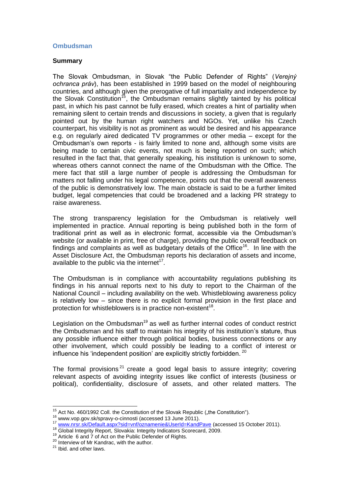# **Ombudsman**

#### **Summary**

The Slovak Ombudsman, in Slovak "the Public Defender of Rights" (*Verejný ochranca práv*), has been established in 1999 based on the model of neighbouring countries, and although given the prerogative of full impartiality and independence by the Slovak Constitution<sup>15</sup>, the Ombudsman remains slightly tainted by his political past, in which his past cannot be fully erased, which creates a hint of partiality when remaining silent to certain trends and discussions in society, a given that is regularly pointed out by the human right watchers and NGOs. Yet, unlike his Czech counterpart, his visibility is not as prominent as would be desired and his appearance e.g. on regularly aired dedicated TV programmes or other media – except for the Ombudsman"s own reports - is fairly limited to none and, although some visits are being made to certain civic events, not much is being reported on such; which resulted in the fact that, that generally speaking, his institution is unknown to some, whereas others cannot connect the name of the Ombudsman with the Office. The mere fact that still a large number of people is addressing the Ombudsman for matters not falling under his legal competence, points out that the overall awareness of the public is demonstratively low. The main obstacle is said to be a further limited budget, legal competencies that could be broadened and a lacking PR strategy to raise awareness.

The strong transparency legislation for the Ombudsman is relatively well implemented in practice. Annual reporting is being published both in the form of traditional print as well as in electronic format, accessible via the Ombudsman"s website (or available in print, free of charge), providing the public overall feedback on findings and complaints as well as budgetary details of the Office<sup>16</sup>. In line with the Asset Disclosure Act, the Ombudsman reports his declaration of assets and income, available to the public via the internet<sup>17</sup>.

The Ombudsman is in compliance with accountability regulations publishing its findings in his annual reports next to his duty to report to the Chairman of the National Council – including availability on the web. Whistleblowing awareness policy is relatively low – since there is no explicit formal provision in the first place and protection for whistleblowers is in practice non-existent<sup>18</sup>.

Legislation on the Ombudsman<sup>19</sup> as well as further internal codes of conduct restrict the Ombudsman and his staff to maintain his integrity of his institution"s stature, thus any possible influence either through political bodies, business connections or any other involvement, which could possibly be leading to a conflict of interest or influence his 'independent position' are explicitly strictly forbidden.  $^{20}$ 

The formal provisions<sup>21</sup> create a good legal basis to assure integrity; covering relevant aspects of avoiding integrity issues like conflict of interests (business or political), confidentiality, disclosure of assets, and other related matters. The

 $\overline{a}$ <sup>15</sup> Act No. 460/1992 Coll. the Constitution of the Slovak Republic ("the Constitution").

<sup>16</sup> www.vop.gov.sk/spravy-o-cinnosti (accessed 13 June 2011).

<sup>17</sup> www.vop.gov.siyspravy-o-unnosit (accessed 15 ounc 2011).<br><sup>17</sup> [www.nrsr.sk/Default.aspx?sid=vnf/oznamenie&UserId=KandPave](file:///C:/Users/AppData/Local/Temp/www.nrsr.sk/Default.aspx%3fsid=vnf/oznamenie&UserId=KandPave) (accessed 15 October 2011).

<sup>18</sup> Global Integrity Report, Slovakia: Integrity Indicators Scorecard, 2009.

<sup>19</sup> Article 6 and 7 of Act on the Public Defender of Rights.

<sup>&</sup>lt;sup>20</sup> Interview of Mr Kandrac, with the author.

 $21$  Ibid. and other laws.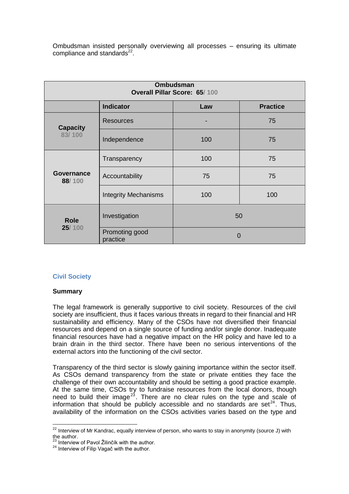Ombudsman insisted personally overviewing all processes – ensuring its ultimate compliance and standards<sup>22</sup>.

| <b>Ombudsman</b><br>Overall Pillar Score: 65/100 |                             |          |                 |
|--------------------------------------------------|-----------------------------|----------|-----------------|
|                                                  | <b>Indicator</b>            | Law      | <b>Practice</b> |
| <b>Capacity</b><br>83/100                        | <b>Resources</b>            | -        | 75              |
|                                                  | Independence                | 100      | 75              |
| Governance<br>88/100                             | Transparency                | 100      | 75              |
|                                                  | Accountability              | 75       | 75              |
|                                                  | <b>Integrity Mechanisms</b> | 100      | 100             |
| <b>Role</b><br>25/100                            | Investigation               | 50       |                 |
|                                                  | Promoting good<br>practice  | $\Omega$ |                 |

# **Civil Society**

# **Summary**

The legal framework is generally supportive to civil society. Resources of the civil society are insufficient, thus it faces various threats in regard to their financial and HR sustainability and efficiency. Many of the CSOs have not diversified their financial resources and depend on a single source of funding and/or single donor. Inadequate financial resources have had a negative impact on the HR policy and have led to a brain drain in the third sector. There have been no serious interventions of the external actors into the functioning of the civil sector.

Transparency of the third sector is slowly gaining importance within the sector itself. As CSOs demand transparency from the state or private entities they face the challenge of their own accountability and should be setting a good practice example. At the same time, CSOs try to fundraise resources from the local donors, though need to build their image<sup>23</sup>. There are no clear rules on the type and scale of information that should be publicly accessible and no standards are set<sup>24</sup>. Thus, availability of the information on the CSOs activities varies based on the type and

 $\overline{a}$  $22$  Interview of Mr Kandrac, equally interview of person, who wants to stay in anonymity (source J) with the author.

<sup>&</sup>lt;sup>23</sup> Interview of Pavol Žilinčík with the author.

<sup>&</sup>lt;sup>24</sup> Interview of Filip Vagač with the author.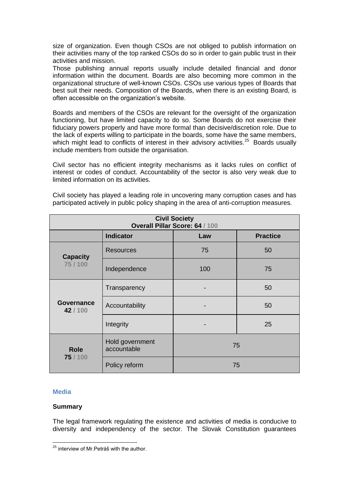size of organization. Even though CSOs are not obliged to publish information on their activities many of the top ranked CSOs do so in order to gain public trust in their activities and mission.

Those publishing annual reports usually include detailed financial and donor information within the document. Boards are also becoming more common in the organizational structure of well-known CSOs. CSOs use various types of Boards that best suit their needs. Composition of the Boards, when there is an existing Board, is often accessible on the organization's website.

Boards and members of the CSOs are relevant for the oversight of the organization functioning, but have limited capacity to do so. Some Boards do not exercise their fiduciary powers properly and have more formal than decisive/discretion role. Due to the lack of experts willing to participate in the boards, some have the same members, which might lead to conflicts of interest in their advisory activities.<sup>25</sup> Boards usually include members from outside the organisation.

Civil sector has no efficient integrity mechanisms as it lacks rules on conflict of interest or codes of conduct. Accountability of the sector is also very weak due to limited information on its activities.

| <b>Civil Society</b><br>Overall Pillar Score: 64 / 100 |                                |     |    |  |  |
|--------------------------------------------------------|--------------------------------|-----|----|--|--|
| <b>Indicator</b><br><b>Practice</b><br>Law             |                                |     |    |  |  |
| <b>Capacity</b><br>75/100                              | <b>Resources</b>               | 75  | 50 |  |  |
|                                                        | Independence                   | 100 | 75 |  |  |
| <b>Governance</b><br>42/100                            | Transparency                   |     | 50 |  |  |
|                                                        | Accountability                 | -   | 50 |  |  |
|                                                        | Integrity                      |     | 25 |  |  |
| <b>Role</b><br>75 / 100                                | Hold government<br>accountable | 75  |    |  |  |
|                                                        | Policy reform                  | 75  |    |  |  |

Civil society has played a leading role in uncovering many corruption cases and has participated actively in public policy shaping in the area of anti-corruption measures.

# **Media**

#### **Summary**

The legal framework regulating the existence and activities of media is conducive to diversity and independency of the sector. The Slovak Constitution guarantees

 $\overline{a}$ <sup>25</sup> interview of Mr.Petráš with the author.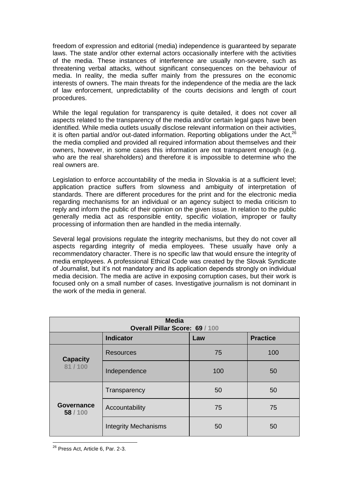freedom of expression and editorial (media) independence is guaranteed by separate laws. The state and/or other external actors occasionally interfere with the activities of the media. These instances of interference are usually non-severe, such as threatening verbal attacks, without significant consequences on the behaviour of media. In reality, the media suffer mainly from the pressures on the economic interests of owners. The main threats for the independence of the media are the lack of law enforcement, unpredictability of the courts decisions and length of court procedures.

While the legal regulation for transparency is quite detailed, it does not cover all aspects related to the transparency of the media and/or certain legal gaps have been identified. While media outlets usually disclose relevant information on their activities, it is often partial and/or out-dated information. Reporting obligations under the Act,<sup>26</sup> the media complied and provided all required information about themselves and their owners, however, in some cases this information are not transparent enough (e.g. who are the real shareholders) and therefore it is impossible to determine who the real owners are.

Legislation to enforce accountability of the media in Slovakia is at a sufficient level; application practice suffers from slowness and ambiguity of interpretation of standards. There are different procedures for the print and for the electronic media regarding mechanisms for an individual or an agency subject to media criticism to reply and inform the public of their opinion on the given issue. In relation to the public generally media act as responsible entity, specific violation, improper or faulty processing of information then are handled in the media internally.

Several legal provisions regulate the integrity mechanisms, but they do not cover all aspects regarding integrity of media employees. These usually have only a recommendatory character. There is no specific law that would ensure the integrity of media employees. A professional Ethical Code was created by the Slovak Syndicate of Journalist, but it"s not mandatory and its application depends strongly on individual media decision. The media are active in exposing corruption cases, but their work is focused only on a small number of cases. Investigative journalism is not dominant in the work of the media in general.

| <b>Media</b><br>Overall Pillar Score: 69 / 100 |                             |     |                 |
|------------------------------------------------|-----------------------------|-----|-----------------|
|                                                | <b>Indicator</b>            | Law | <b>Practice</b> |
| <b>Capacity</b><br>81/100                      | <b>Resources</b>            | 75  | 100             |
|                                                | Independence                | 100 | 50              |
| Governance<br>58/100                           | Transparency                | 50  | 50              |
|                                                | Accountability              | 75  | 75              |
|                                                | <b>Integrity Mechanisms</b> | 50  | 50              |

 $\overline{a}$ <sup>26</sup> Press Act, Article 6, Par. 2-3.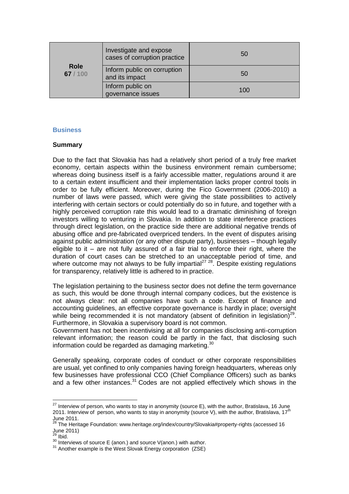| <b>Role</b><br>67/100 | Investigate and expose<br>cases of corruption practice | 50  |
|-----------------------|--------------------------------------------------------|-----|
|                       | Inform public on corruption<br>and its impact          | 50  |
|                       | Inform public on<br>governance issues                  | 100 |

# **Business**

# **Summary**

Due to the fact that Slovakia has had a relatively short period of a truly free market economy, certain aspects within the business environment remain cumbersome; whereas doing business itself is a fairly accessible matter, regulations around it are to a certain extent insufficient and their implementation lacks proper control tools in order to be fully efficient. Moreover, during the Fico Government (2006-2010) a number of laws were passed, which were giving the state possibilities to actively interfering with certain sectors or could potentially do so in future, and together with a highly perceived corruption rate this would lead to a dramatic diminishing of foreign investors willing to venturing in Slovakia. In addition to state interference practices through direct legislation, on the practice side there are additional negative trends of abusing office and pre-fabricated overpriced tenders. In the event of disputes arising against public administration (or any other dispute party), businesses – though legally eligible to it – are not fully assured of a fair trial to enforce their right, where the duration of court cases can be stretched to an unacceptable period of time, and where outcome may not always to be fully impartial<sup>27 28</sup>. Despite existing regulations for transparency, relatively little is adhered to in practice.

The legislation pertaining to the business sector does not define the term governance as such, this would be done through internal company codices, but the existence is not always clear: not all companies have such a code. Except of finance and accounting guidelines, an effective corporate governance is hardly in place; oversight while being recommended it is not mandatory (absent of definition in legislation) $29$ . Furthermore, in Slovakia a supervisory board is not common.

Government has not been incentivising at all for companies disclosing anti-corruption relevant information; the reason could be partly in the fact, that disclosing such information could be regarded as damaging marketing.<sup>30</sup>

Generally speaking, corporate codes of conduct or other corporate responsibilities are usual, yet confined to only companies having foreign headquarters, whereas only few businesses have professional CCO (Chief Compliance Officers) such as banks and a few other instances.<sup>31</sup> Codes are not applied effectively which shows in the

 $\overline{a}$ 

 $27$  Interview of person, who wants to stay in anonymity (source E), with the author, Bratislava, 16 June 2011. Interview of person, who wants to stay in anonymity (source V), with the author, Bratislava,  $17<sup>th</sup>$ June 2011.

<sup>&</sup>lt;sup>28</sup> The Heritage Foundation: www.heritage.org/index/country/Slovakia#property-rights (accessed 16 June 2011)

 $^{29}$  Ibid.

<sup>&</sup>lt;sup>30</sup> Interviews of source E (anon.) and source V(anon.) with author.

<sup>&</sup>lt;sup>31</sup> Another example is the West Slovak Energy corporation (ZSE)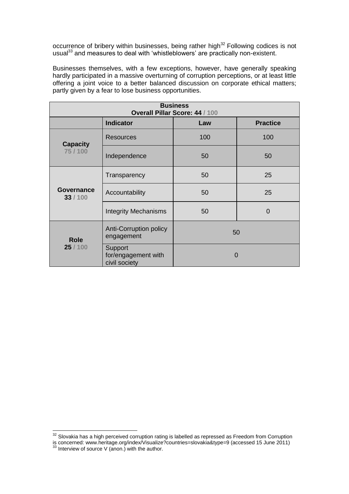occurrence of bribery within businesses, being rather high<sup>32</sup> Following codices is not usual<sup>33</sup> and measures to deal with 'whistleblowers' are practically non-existent.

Businesses themselves, with a few exceptions, however, have generally speaking hardly participated in a massive overturning of corruption perceptions, or at least little offering a joint voice to a better balanced discussion on corporate ethical matters; partly given by a fear to lose business opportunities.

| <b>Business</b><br>Overall Pillar Score: 44 / 100 |                                                 |          |                 |
|---------------------------------------------------|-------------------------------------------------|----------|-----------------|
|                                                   | <b>Indicator</b>                                | Law      | <b>Practice</b> |
| <b>Capacity</b><br>75 / 100                       | Resources                                       | 100      | 100             |
|                                                   | Independence                                    | 50       | 50              |
| <b>Governance</b><br>33 / 100                     | Transparency                                    | 50       | 25              |
|                                                   | Accountability                                  | 50       | 25              |
|                                                   | <b>Integrity Mechanisms</b>                     | 50       | $\overline{0}$  |
| <b>Role</b><br>25 / 100                           | <b>Anti-Corruption policy</b><br>engagement     | 50       |                 |
|                                                   | Support<br>for/engagement with<br>civil society | $\Omega$ |                 |

 $\overline{a}$ 

 $32$  Slovakia has a high perceived corruption rating is labelled as repressed as Freedom from Corruption is concerned: www.heritage.org/index/Visualize?countries=slovakia&type=9 (accessed 15 June 2011)

 $33$  Interview of source V (anon.) with the author.